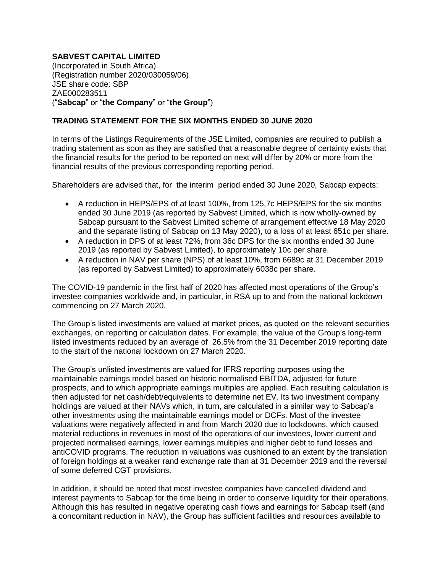## **SABVEST CAPITAL LIMITED**

(Incorporated in South Africa) (Registration number 2020/030059/06) JSE share code: SBP ZAE000283511 ("**Sabcap**" or "**the Company**" or "**the Group**")

## **TRADING STATEMENT FOR THE SIX MONTHS ENDED 30 JUNE 2020**

In terms of the Listings Requirements of the JSE Limited, companies are required to publish a trading statement as soon as they are satisfied that a reasonable degree of certainty exists that the financial results for the period to be reported on next will differ by 20% or more from the financial results of the previous corresponding reporting period.

Shareholders are advised that, for the interim period ended 30 June 2020, Sabcap expects:

- A reduction in HEPS/EPS of at least 100%, from 125,7c HEPS/EPS for the six months ended 30 June 2019 (as reported by Sabvest Limited, which is now wholly-owned by Sabcap pursuant to the Sabvest Limited scheme of arrangement effective 18 May 2020 and the separate listing of Sabcap on 13 May 2020), to a loss of at least 651c per share.
- A reduction in DPS of at least 72%, from 36c DPS for the six months ended 30 June 2019 (as reported by Sabvest Limited), to approximately 10c per share.
- A reduction in NAV per share (NPS) of at least 10%, from 6689c at 31 December 2019 (as reported by Sabvest Limited) to approximately 6038c per share.

The COVID-19 pandemic in the first half of 2020 has affected most operations of the Group's investee companies worldwide and, in particular, in RSA up to and from the national lockdown commencing on 27 March 2020.

The Group's listed investments are valued at market prices, as quoted on the relevant securities exchanges, on reporting or calculation dates. For example, the value of the Group's long-term listed investments reduced by an average of 26,5% from the 31 December 2019 reporting date to the start of the national lockdown on 27 March 2020.

The Group's unlisted investments are valued for IFRS reporting purposes using the maintainable earnings model based on historic normalised EBITDA, adjusted for future prospects, and to which appropriate earnings multiples are applied. Each resulting calculation is then adjusted for net cash/debt/equivalents to determine net EV. Its two investment company holdings are valued at their NAVs which, in turn, are calculated in a similar way to Sabcap's other investments using the maintainable earnings model or DCFs. Most of the investee valuations were negatively affected in and from March 2020 due to lockdowns, which caused material reductions in revenues in most of the operations of our investees, lower current and projected normalised earnings, lower earnings multiples and higher debt to fund losses and antiCOVID programs. The reduction in valuations was cushioned to an extent by the translation of foreign holdings at a weaker rand exchange rate than at 31 December 2019 and the reversal of some deferred CGT provisions.

In addition, it should be noted that most investee companies have cancelled dividend and interest payments to Sabcap for the time being in order to conserve liquidity for their operations. Although this has resulted in negative operating cash flows and earnings for Sabcap itself (and a concomitant reduction in NAV), the Group has sufficient facilities and resources available to